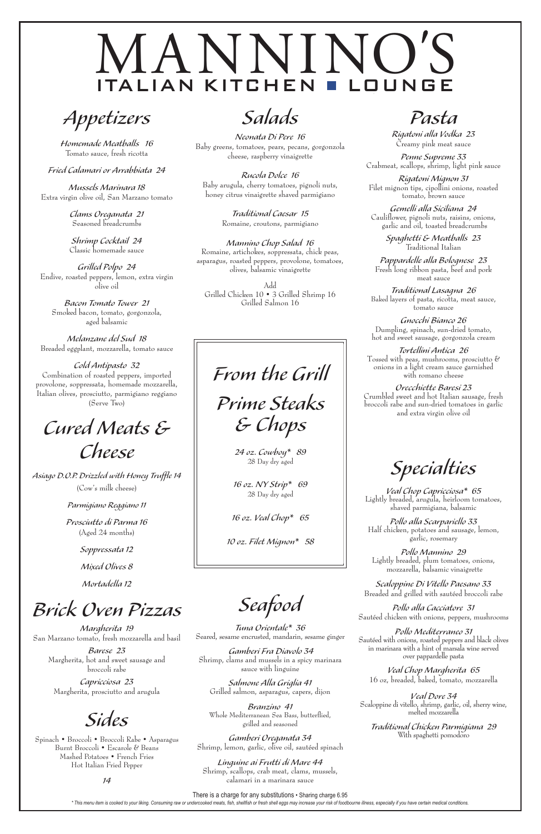

Homemade Meatballs 16 Tomato sauce, fresh ricotta

Fried Calamari or Arrabbiata 24

Mussels Marinara 18 Extra virgin olive oil, San Marzano tomato

> Clams Oreganata 21 Seasoned breadcrumbs

Shrimp Cocktail 24 Classic homemade sauce

Grilled Polpo 24 Endive, roasted peppers, lemon, extra virgin olive oil

Bacon Tomato Tower 21 Smoked bacon, tomato, gorgonzola, aged balsamic

Asiago D.O.P. Drizzled with Honey Truffle 14 (Cow's milk cheese)

Melanzane del Sud 18 Breaded eggplant, mozzarella, tomato sauce

Cold Antipasto 32 Combination of roasted peppers, imported provolone, soppressata, homemade mozzarella, Italian olives, prosciutto, parmigiano reggiano (Serve Two)

Cured Meats & Cheese

Parmigiano Reggiano 11

Prosciutto di Parma 16 (Aged 24 months)

Soppressata 12

M*annino Chop Salad 16*<br>Romaine, artichokes, soppressata, chick peas, asparagus, roasted peppers, provolone, tomatoes, olives, balsamic vinaigrette

Mixed Olives 8

Mortadella 12

Brick Oven Pizzas

Margherita 19 San Marzano tomato, fresh mozzarella and basil

Barese 23 Margherita, hot and sweet sausage and broccoli rabe

Capricciosa 23 Margherita, prosciutto and arugula

Sides

Spinach • Broccoli • Broccoli Rabe • Asparagus Burnt Broccoli • Escarole & Beans Mashed Potatoes • French Fries Hot Italian Fried Pepper

14

Rigatoni Mignon 31<br>Filet mignon tips, cipollini onions, roasted tomato, brown sauce

Salads

Neonata Di Pere 16 Baby greens, tomatoes, pears, pecans, gorgonzola cheese, raspberry vinaigrette

Rucola Dolce 16 Baby arugula, cherry tomatoes, pignoli nuts, honey citrus vinaigrette shaved parmigiano

> T*raditional Lasagna 26*<br>Baked layers of pasta, ricotta, meat sauce, tomato sauce

Traditional Caesar 15 Romaine, croutons, parmigiano

> *Veal Chop Capricciosa*\*  $65$ <br>Lightly breaded, arugula, heirloom tomatoes, shaved parmigiana, balsamic

Add Grilled Chicken 10 • 3 Grilled Shrimp 16 Grilled Salmon 16

Seafood

Tuna Orientale\* 36 Seared, sesame encrusted, mandarin, sesame ginger

 Gamberi Fra Diavolo 34 Shrimp, clams and mussels in a spicy marinara sauce with linguine

Salmone Alla Griglia 41 Grilled salmon, asparagus, capers, dijon

Branzino 41 Whole Mediterranean Sea Bass, butterflied, grilled and seasoned

## MANNINO ITALIAN KITCHEN LOUNGE

Gamberi Oreganata 34 Shrimp, lemon, garlic, olive oil, sautéed spinach

Linguine ai Frutti di Mare 44 Shrimp, scallops, crab meat, clams, mussels, calamari in a marinara sauce

## Pasta

 Rigatoni alla Vodka 23 Creamy pink meat sauce

Penne Supreme 33 Crabmeat, scallops, shrimp, light pink sauce

Gemelli alla Siciliana 24 Cauliflower, pignoli nuts, raisins, onions, garlic and oil, toasted breadcrumbs

Spaghetti & Meatballs 23 Traditional Italian

 Pappardelle alla Bolognese 23 Fresh long ribbon pasta, beef and pork meat sauce

Gnocchi Bianco 26 Dumpling, spinach, sun-dried tomato, hot and sweet sausage, gorgonzola cream

Tortellini Antica 26 Tossed with peas, mushrooms, prosciutto & onions in a light cream sauce garnished with romano cheese

Orecchiette Baresi 23 Crumbled sweet and hot Italian sausage, fresh broccoli rabe and sun-dried tomatoes in garlic and extra virgin olive oil

Specialties

Pollo alla Scarpariello 33 Half chicken, potatoes and sausage, lemon, garlic, rosemary

 Pollo Mannino 29 Lightly breaded, plum tomatoes, onions, mozzarella, balsamic vinaigrette

Scaloppine Di Vitello Paesano 33 Breaded and grilled with sautéed broccoli rabe

Pollo alla Cacciatore 31 Sautéed chicken with onions, peppers, mushrooms

Pollo Mediterraneo 31 Sautéed with onions, roasted peppers and black olives in marinara with a hint of marsala wine served over pappardelle pasta

Veal Chop Margherita 65 16 oz, breaded, baked, tomato, mozzarella

Veal Dore 34 Scaloppine di vitello, shrimp, garlic, oil, sherry wine, melted mozzarella

Traditional Chicken Parmigiana 29 With spaghetti pomodoro

There is a charge for any substitutions • Sharing charge 6.95

\* This menu item is cooked to your liking. Consuming raw or undercooked meats, fish, shellfish or fresh shell eggs may increase your risk of foodbourne illness, especially if you have certain medical conditions

## From the Grill

Prime Steaks & Chops

24 oz. Cowboy\* 89 28 Day dry aged

16 oz. NY Strip\* 69 28 Day dry aged

16 oz. Veal Chop $*$  65

10 oz. Filet Mignon\* 58